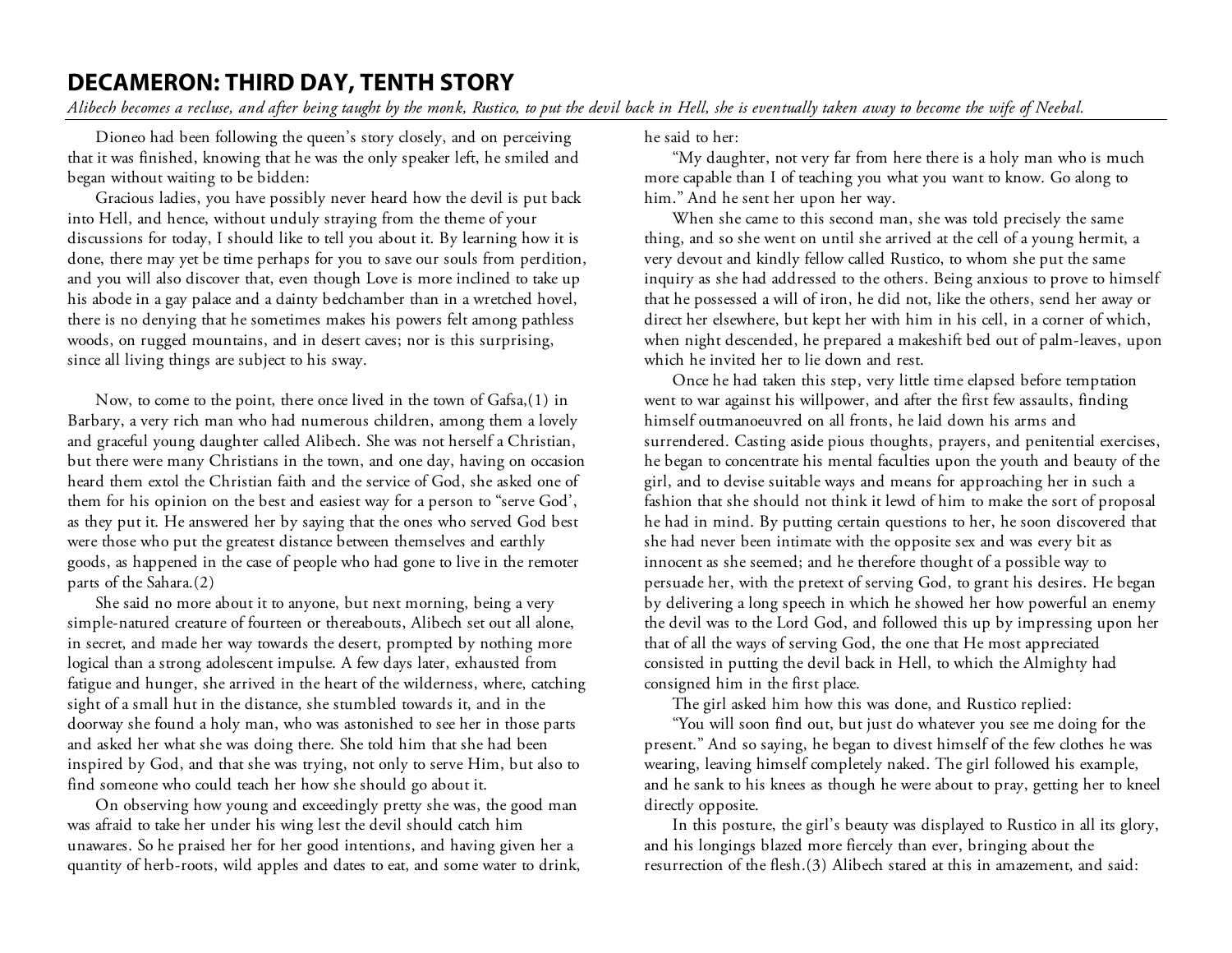## **DECAMERON: THIRD DAY, TENTH STORY**

*Alibech becomes a recluse, and after being taught by the monk, Rustico, to put the devil back in Hell, she is eventually taken away to become the wife of Neebal.*

Dioneo had been following the queen's story closely, and on perceiving that it was finished, knowing that he was the only speaker left, he smiled and began without waiting to be bidden:

Gracious ladies, you have possibly never heard how the devil is put back into Hell, and hence, without unduly straying from the theme of your discussions for today, I should like to tell you about it. By learning how it is done, there may yet be time perhaps for you to save our souls from perdition, and you will also discover that, even though Love is more inclined to take up his abode in a gay palace and a dainty bedchamber than in a wretched hovel, there is no denying that he sometimes makes his powers felt among pathless woods, on rugged mountains, and in desert caves; nor is this surprising, since all living things are subject to his sway.

Now, to come to the point, there once lived in the town of Gafsa,(1) in Barbary, a very rich man who had numerous children, among them a lovely and graceful young daughter called Alibech. She was not herself a Christian, but there were many Christians in the town, and one day, having on occasion heard them extol the Christian faith and the service of God, she asked one of them for his opinion on the best and easiest way for a person to "serve God', as they put it. He answered her by saying that the ones who served God best were those who put the greatest distance between themselves and earthly goods, as happened in the case of people who had gone to live in the remoter parts of the Sahara.(2)

She said no more about it to anyone, but next morning, being a very simple-natured creature of fourteen or thereabouts, Alibech set out all alone, in secret, and made her way towards the desert, prompted by nothing more logical than a strong adolescent impulse. A few days later, exhausted from fatigue and hunger, she arrived in the heart of the wilderness, where, catching sight of a small hut in the distance, she stumbled towards it, and in the doorway she found a holy man, who was astonished to see her in those parts and asked her what she was doing there. She told him that she had been inspired by God, and that she was trying, not only to serve Him, but also to find someone who could teach her how she should go about it.

On observing how young and exceedingly pretty she was, the good man was afraid to take her under his wing lest the devil should catch him unawares. So he praised her for her good intentions, and having given her a quantity of herb-roots, wild apples and dates to eat, and some water to drink, he said to her:

"My daughter, not very far from here there is a holy man who is much more capable than I of teaching you what you want to know. Go along to him." And he sent her upon her way.

When she came to this second man, she was told precisely the same thing, and so she went on until she arrived at the cell of a young hermit, a very devout and kindly fellow called Rustico, to whom she put the same inquiry as she had addressed to the others. Being anxious to prove to himself that he possessed a will of iron, he did not, like the others, send her away or direct her elsewhere, but kept her with him in his cell, in a corner of which, when night descended, he prepared a makeshift bed out of palm-leaves, upon which he invited her to lie down and rest.

Once he had taken this step, very little time elapsed before temptation went to war against his willpower, and after the first few assaults, finding himself outmanoeuvred on all fronts, he laid down his arms and surrendered. Casting aside pious thoughts, prayers, and penitential exercises, he began to concentrate his mental faculties upon the youth and beauty of the girl, and to devise suitable ways and means for approaching her in such a fashion that she should not think it lewd of him to make the sort of proposal he had in mind. By putting certain questions to her, he soon discovered that she had never been intimate with the opposite sex and was every bit as innocent as she seemed; and he therefore thought of a possible way to persuade her, with the pretext of serving God, to grant his desires. He began by delivering a long speech in which he showed her how powerful an enemy the devil was to the Lord God, and followed this up by impressing upon her that of all the ways of serving God, the one that He most appreciated consisted in putting the devil back in Hell, to which the Almighty had consigned him in the first place.

The girl asked him how this was done, and Rustico replied:

"You will soon find out, but just do whatever you see me doing for the present." And so saying, he began to divest himself of the few clothes he was wearing, leaving himself completely naked. The girl followed his example, and he sank to his knees as though he were about to pray, getting her to kneel directly opposite.

In this posture, the girl's beauty was displayed to Rustico in all its glory, and his longings blazed more fiercely than ever, bringing about the resurrection of the flesh.(3) Alibech stared at this in amazement, and said: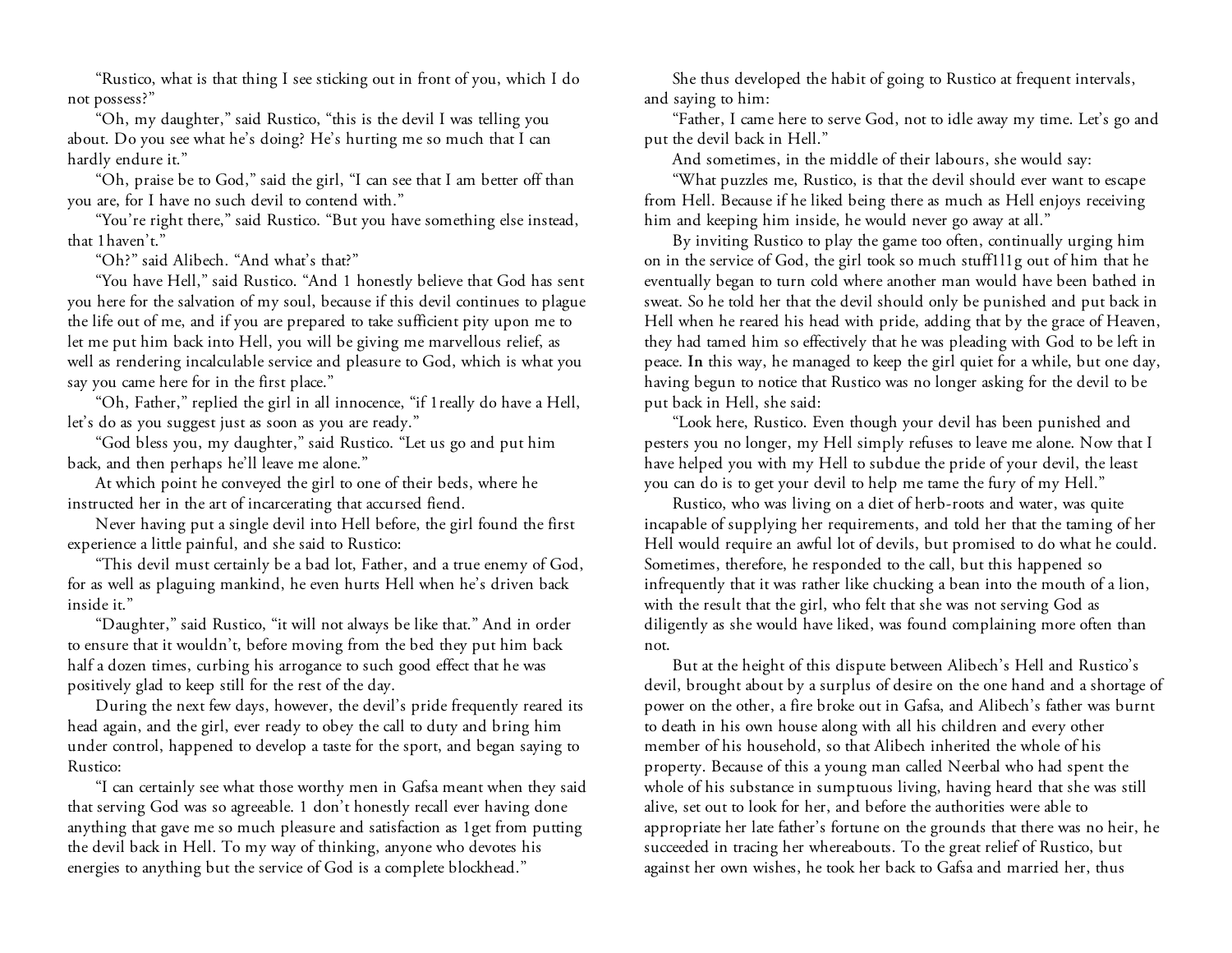"Rustico, what is that thing I see sticking out in front of you, which I do not possess?"

"Oh, my daughter," said Rustico, "this is the devil I was telling you about. Do you see what he's doing? He's hurting me so much that I can hardly endure it."

"Oh, praise be to God," said the girl, "I can see that I am better off than you are, for I have no such devil to contend with."

"You're right there," said Rustico. "But you have something else instead, that 1haven't."

"Oh?" said Alibech. "And what's that?"

"You have Hell," said Rustico. "And 1 honestly believe that God has sent you here for the salvation of my soul, because if this devil continues to plague the life out of me, and if you are prepared to take sufficient pity upon me to let me put him back into Hell, you will be giving me marvellous relief, as well as rendering incalculable service and pleasure to God, which is what you say you came here for in the first place."

"Oh, Father," replied the girl in all innocence, "if 1really do have a Hell, let's do as you suggest just as soon as you are ready."

"God bless you, my daughter," said Rustico. "Let us go and put him back, and then perhaps he'll leave me alone."

At which point he conveyed the girl to one of their beds, where he instructed her in the art of incarcerating that accursed fiend.

Never having put a single devil into Hell before, the girl found the first experience a little painful, and she said to Rustico:

"This devil must certainly be a bad lot, Father, and a true enemy of God, for as well as plaguing mankind, he even hurts Hell when he's driven back inside it."

"Daughter," said Rustico, "it will not always be like that." And in order to ensure that it wouldn't, before moving from the bed they put him back half a dozen times, curbing his arrogance to such good effect that he was positively glad to keep still for the rest of the day.

During the next few days, however, the devil's pride frequently reared its head again, and the girl, ever ready to obey the call to duty and bring him under control, happened to develop a taste for the sport, and began saying to Rustico:

"I can certainly see what those worthy men in Gafsa meant when they said that serving God was so agreeable. 1 don't honestly recall ever having done anything that gave me so much pleasure and satisfaction as 1get from putting the devil back in Hell. To my way of thinking, anyone who devotes his energies to anything but the service of God is a complete blockhead."

She thus developed the habit of going to Rustico at frequent intervals, and saying to him:

"Father, I came here to serve God, not to idle away my time. Let's go and put the devil back in Hell."

And sometimes, in the middle of their labours, she would say:

"What puzzles me, Rustico, is that the devil should ever want to escape from Hell. Because if he liked being there as much as Hell enjoys receiving him and keeping him inside, he would never go away at all."

By inviting Rustico to play the game too often, continually urging him on in the service of God, the girl took so much stuff1l1g out of him that he eventually began to turn cold where another man would have been bathed in sweat. So he told her that the devil should only be punished and put back in Hell when he reared his head with pride, adding that by the grace of Heaven, they had tamed him so effectively that he was pleading with God to be left in peace. **In** this way, he managed to keep the girl quiet for a while, but one day, having begun to notice that Rustico was no longer asking for the devil to be put back in Hell, she said:

"Look here, Rustico. Even though your devil has been punished and pesters you no longer, my Hell simply refuses to leave me alone. Now that I have helped you with my Hell to subdue the pride of your devil, the least you can do is to get your devil to help me tame the fury of my Hell."

Rustico, who was living on a diet of herb-roots and water, was quite incapable of supplying her requirements, and told her that the taming of her Hell would require an awful lot of devils, but promised to do what he could. Sometimes, therefore, he responded to the call, but this happened so infrequently that it was rather like chucking a bean into the mouth of a lion, with the result that the girl, who felt that she was not serving God as diligently as she would have liked, was found complaining more often than not.

But at the height of this dispute between Alibech's Hell and Rustico's devil, brought about by a surplus of desire on the one hand and a shortage of power on the other, a fire broke out in Gafsa, and Alibech's father was burnt to death in his own house along with all his children and every other member of his household, so that Alibech inherited the whole of his property. Because of this a young man called Neerbal who had spent the whole of his substance in sumptuous living, having heard that she was still alive, set out to look for her, and before the authorities were able to appropriate her late father's fortune on the grounds that there was no heir, he succeeded in tracing her whereabouts. To the great relief of Rustico, but against her own wishes, he took her back to Gafsa and married her, thus